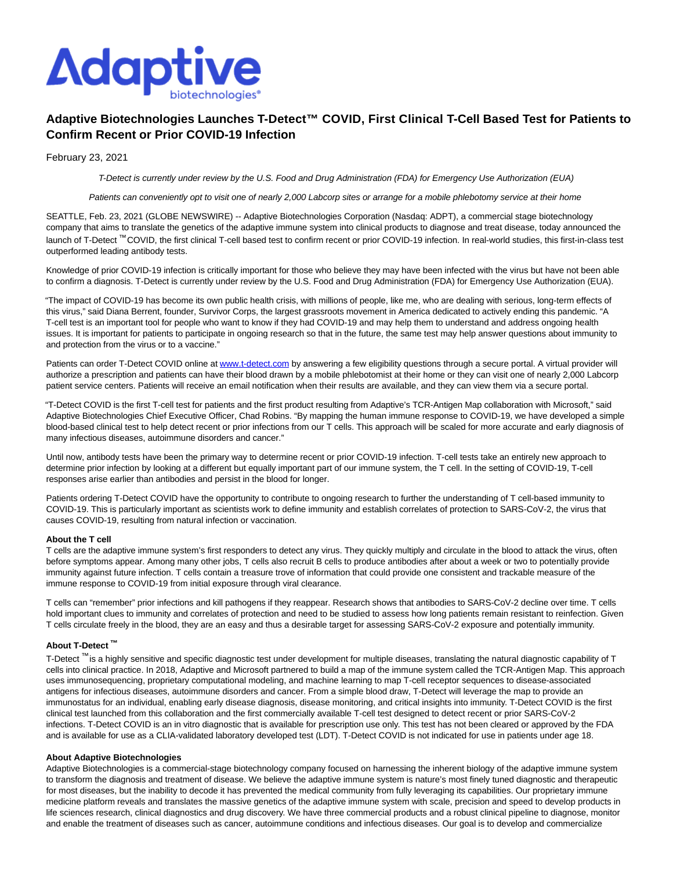

# **Adaptive Biotechnologies Launches T-Detect™ COVID, First Clinical T-Cell Based Test for Patients to Confirm Recent or Prior COVID-19 Infection**

February 23, 2021

T-Detect is currently under review by the U.S. Food and Drug Administration (FDA) for Emergency Use Authorization (EUA)

Patients can conveniently opt to visit one of nearly 2,000 Labcorp sites or arrange for a mobile phlebotomy service at their home

SEATTLE, Feb. 23, 2021 (GLOBE NEWSWIRE) -- Adaptive Biotechnologies Corporation (Nasdaq: ADPT), a commercial stage biotechnology company that aims to translate the genetics of the adaptive immune system into clinical products to diagnose and treat disease, today announced the launch of T-Detect ™ COVID, the first clinical T-cell based test to confirm recent or prior COVID-19 infection. In real-world studies, this first-in-class test outperformed leading antibody tests.

Knowledge of prior COVID-19 infection is critically important for those who believe they may have been infected with the virus but have not been able to confirm a diagnosis. T-Detect is currently under review by the U.S. Food and Drug Administration (FDA) for Emergency Use Authorization (EUA).

"The impact of COVID-19 has become its own public health crisis, with millions of people, like me, who are dealing with serious, long-term effects of this virus," said Diana Berrent, founder, Survivor Corps, the largest grassroots movement in America dedicated to actively ending this pandemic. "A T-cell test is an important tool for people who want to know if they had COVID-19 and may help them to understand and address ongoing health issues. It is important for patients to participate in ongoing research so that in the future, the same test may help answer questions about immunity to and protection from the virus or to a vaccine."

Patients can order T-Detect COVID online a[t www.t-detect.com b](https://www.globenewswire.com/Tracker?data=lGiBOZSF4caz42qPYwxD0AIqJfU3PM9buo2-8URPZizGJ61O_juSucPMJGTdotwWbogPgDyokzQ5aC4wzANkjw==)y answering a few eligibility questions through a secure portal. A virtual provider will authorize a prescription and patients can have their blood drawn by a mobile phlebotomist at their home or they can visit one of nearly 2,000 Labcorp patient service centers. Patients will receive an email notification when their results are available, and they can view them via a secure portal.

"T-Detect COVID is the first T-cell test for patients and the first product resulting from Adaptive's TCR-Antigen Map collaboration with Microsoft," said Adaptive Biotechnologies Chief Executive Officer, Chad Robins. "By mapping the human immune response to COVID-19, we have developed a simple blood-based clinical test to help detect recent or prior infections from our T cells. This approach will be scaled for more accurate and early diagnosis of many infectious diseases, autoimmune disorders and cancer."

Until now, antibody tests have been the primary way to determine recent or prior COVID-19 infection. T-cell tests take an entirely new approach to determine prior infection by looking at a different but equally important part of our immune system, the T cell. In the setting of COVID-19, T-cell responses arise earlier than antibodies and persist in the blood for longer.

Patients ordering T-Detect COVID have the opportunity to contribute to ongoing research to further the understanding of T cell-based immunity to COVID-19. This is particularly important as scientists work to define immunity and establish correlates of protection to SARS-CoV-2, the virus that causes COVID-19, resulting from natural infection or vaccination.

## **About the T cell**

T cells are the adaptive immune system's first responders to detect any virus. They quickly multiply and circulate in the blood to attack the virus, often before symptoms appear. Among many other jobs, T cells also recruit B cells to produce antibodies after about a week or two to potentially provide immunity against future infection. T cells contain a treasure trove of information that could provide one consistent and trackable measure of the immune response to COVID-19 from initial exposure through viral clearance.

T cells can "remember" prior infections and kill pathogens if they reappear. Research shows that antibodies to SARS-CoV-2 decline over time. T cells hold important clues to immunity and correlates of protection and need to be studied to assess how long patients remain resistant to reinfection. Given T cells circulate freely in the blood, they are an easy and thus a desirable target for assessing SARS-CoV-2 exposure and potentially immunity.

# **About T-Detect ™**

T-Detect ™ is a highly sensitive and specific diagnostic test under development for multiple diseases, translating the natural diagnostic capability of T cells into clinical practice. In 2018, Adaptive and Microsoft partnered to build a map of the immune system called the TCR-Antigen Map. This approach uses immunosequencing, proprietary computational modeling, and machine learning to map T-cell receptor sequences to disease-associated antigens for infectious diseases, autoimmune disorders and cancer. From a simple blood draw, T-Detect will leverage the map to provide an immunostatus for an individual, enabling early disease diagnosis, disease monitoring, and critical insights into immunity. T-Detect COVID is the first clinical test launched from this collaboration and the first commercially available T-cell test designed to detect recent or prior SARS-CoV-2 infections. T-Detect COVID is an in vitro diagnostic that is available for prescription use only. This test has not been cleared or approved by the FDA and is available for use as a CLIA-validated laboratory developed test (LDT). T-Detect COVID is not indicated for use in patients under age 18.

#### **About Adaptive Biotechnologies**

Adaptive Biotechnologies is a commercial-stage biotechnology company focused on harnessing the inherent biology of the adaptive immune system to transform the diagnosis and treatment of disease. We believe the adaptive immune system is nature's most finely tuned diagnostic and therapeutic for most diseases, but the inability to decode it has prevented the medical community from fully leveraging its capabilities. Our proprietary immune medicine platform reveals and translates the massive genetics of the adaptive immune system with scale, precision and speed to develop products in life sciences research, clinical diagnostics and drug discovery. We have three commercial products and a robust clinical pipeline to diagnose, monitor and enable the treatment of diseases such as cancer, autoimmune conditions and infectious diseases. Our goal is to develop and commercialize